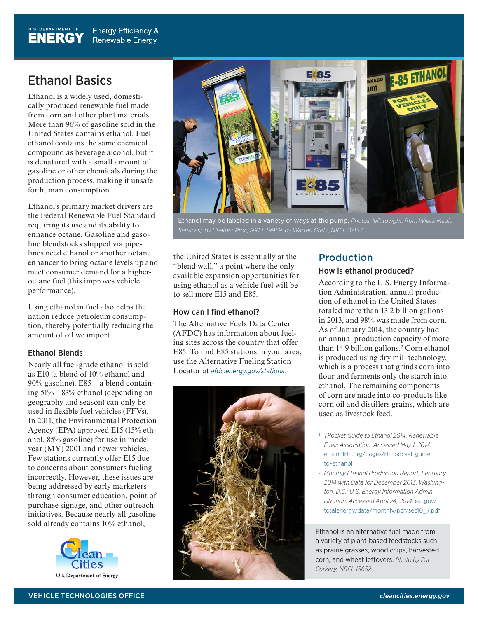## Ethanol Basics

Ethanol is a widely used, domestically produced renewable fuel made from corn and other plant materials. More than 96% of gasoline sold in the United States contains ethanol. Fuel ethanol contains the same chemical compound as beverage alcohol, but it is denatured with a small amount of gasoline or other chemicals during the production process, making it unsafe for human consumption.

Ethanol's primary market drivers are the Federal Renewable Fuel Standard requiring its use and its ability to enhance octane. Gasoline and gasoline blendstocks shipped via pipelines need ethanol or another octane enhancer to bring octane levels up and meet consumer demand for a higheroctane fuel (this improves vehicle performance).

Using ethanol in fuel also helps the nation reduce petroleum consumption, thereby potentially reducing the amount of oil we import.

### Ethanol Blends

Nearly all fuel-grade ethanol is sold as E10 (a blend of 10% ethanol and 90% gasoline). E85—a blend containing 51% – 83% ethanol (depending on geography and season) can only be used in flexible fuel vehicles (FFVs). In 2011, the Environmental Protection Agency (EPA) approved E15 (15% ethanol, 85% gasoline) for use in model year (MY) 2001 and newer vehicles. Few stations currently offer E15 due to concerns about consumers fueling incorrectly. However, these issues are being addressed by early marketers through consumer education, point of purchase signage, and other outreach initiatives. Because nearly all gasoline sold already contains 10% ethanol,





Ethanol may be labeled in a variety of ways at the pump. *Photos, left to right, from Wieck Media* 

the United States is essentially at the "blend wall," a point where the only available expansion opportunities for using ethanol as a vehicle fuel will be to sell more E15 and E85.

#### How can I find ethanol?

The Alternative Fuels Data Center (AFDC) has information about fueling sites across the country that offer E85. To find E85 stations in your area, use the Alternative Fueling Station Locator at *<afdc.energy.gov/stations>*.



## Production

#### How is ethanol produced?

According to the U.S. Energy Information Administration, annual production of ethanol in the United States totaled more than 13.2 billion gallons in 2013, and 98% was made from corn. As of January 2014, the country had an annual production capacity of more than 14.9 billion gallons.<sup>2</sup> Corn ethanol is produced using dry mill technology, which is a process that grinds corn into flour and ferments only the starch into ethanol. The remaining components of corn are made into co-products like corn oil and distillers grains, which are used as livestock feed.

- *1 TPocket Guide to Ethanol 2014, Renewable Fuels Association. Accessed May 1, 2014:*  [ethanolrfa.org/pages/rfa-pocket-guide](http://ethanolrfa.org/pages/rfa-pocket-guide-to-ethanol )[to-ethanol](http://ethanolrfa.org/pages/rfa-pocket-guide-to-ethanol )
- *2 Monthly Ethanol Production Report, February 2014 with Data for December 2013, Washington, D.C.: U.S. Energy Information Administration. Accessed April 24, 2014:* [eia.gov/](http://eia.gov/totalenergy/data/monthly/pdf/sec10_7.pdf) [totalenergy/data/monthly/pdf/sec10\\_7.pdf](http://eia.gov/totalenergy/data/monthly/pdf/sec10_7.pdf)

Ethanol is an alternative fuel made from a variety of plant-based feedstocks such as prairie grasses, wood chips, harvested corn, and wheat leftovers. *Photo by Pat Corkery, NREL 15652*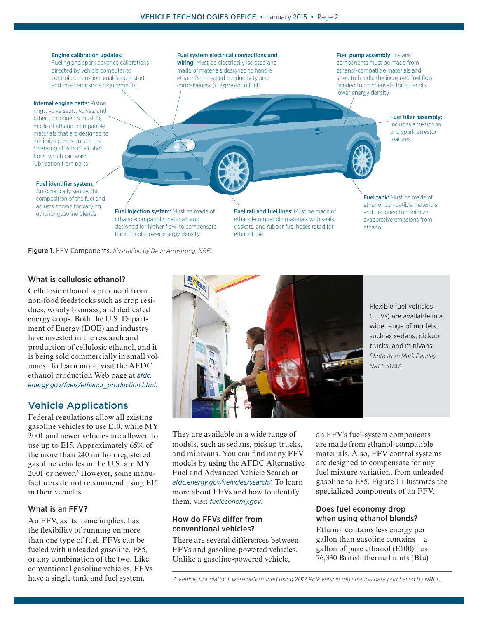#### Engine calibration updates:

Fueling and spark advance calibrations directed by vehicle computer to control combustion, enable cold start, and meet emissions requirements

#### Internal engine parts: Piston

rings, valve seats, valves, and other components must be made of ethanol-compatible materials that are designed to minimize corrosion and the cleansing effects of alcohol fuels, which can wash lubrication from parts

Fuel system electrical connections and wiring: Must be electrically isolated and made of materials designed to handle ethanol's increased conductivity and corrosiveness (if exposed to fuel)

#### Fuel pump assembly: In-tank

components must be made from ethanol-compatible materials and sized to handle the increased fuel flow needed to compensate for ethanol's lower energy density

> Fuel filler assembly: Includes anti-siphon and spark-arrestor features

#### Fuel identifier system: Automatically senses the composition of the fuel and adjusts engine for varying

ethanol-gasoline blends **Fuel injection system:** Must be made of ethanol-compatible materials and designed for higher flow to compensate for ethanol's lower energy density

Figure 1. FFV Components. *Illustration by Dean Armstrong, NREL*

Fuel rail and fuel lines: Must be made of ethanol-compatible materials with seals, gaskets, and rubber fuel hoses rated for ethanol use

Fuel tank: Must be made of ethanol-compatible materials and designed to minimize evaporative emissions from ethanol

### What is cellulosic ethanol?

Cellulosic ethanol is produced from non-food feedstocks such as crop residues, woody biomass, and dedicated energy crops. Both the U.S. Department of Energy (DOE) and industry have invested in the research and production of cellulosic ethanol, and it is being sold commercially in small volumes. To learn more, visit the AFDC ethanol production Web page at *[afdc.](afdc.energy.gov/fuels/ethanol_production.html) [energy.gov/fuels/ethanol\\_production.html](afdc.energy.gov/fuels/ethanol_production.html)*.

#### Vehicle Applications

Federal regulations allow all existing gasoline vehicles to use E10, while MY 2001 and newer vehicles are allowed to use up to E15. Approximately 65% of the more than 240 million registered gasoline vehicles in the U.S. are MY 2001 or newer.3 However, some manufacturers do not recommend using E15 in their vehicles.

#### What is an FFV?

An FFV, as its name implies, has the flexibility of running on more than one type of fuel. FFVs can be fueled with unleaded gasoline, E85, or any combination of the two. Like conventional gasoline vehicles, FFVs have a single tank and fuel system.



Flexible fuel vehicles (FFVs) are available in a wide range of models, such as sedans, pickup trucks, and minivans. *Photo from Mark Bentley, NREL 31747*

They are available in a wide range of models, such as sedans, pickup trucks, and minivans. You can find many FFV models by using the AFDC Alternative Fuel and Advanced Vehicle Search at *[afdc.energy.gov/vehicles/search/](www.afdc.energy.gov/vehicles/search/)*. To learn more about FFVs and how to identify them, visit *[fueleconomy.gov](http://fueleconomy.gov)*.

#### How do FFVs differ from conventional vehicles?

There are several differences between FFVs and gasoline-powered vehicles. Unlike a gasoline-powered vehicle,

an FFV's fuel-system components are made from ethanol-compatible materials. Also, FFV control systems are designed to compensate for any fuel mixture variation, from unleaded gasoline to E85. Figure 1 illustrates the specialized components of an FFV.

#### Does fuel economy drop when using ethanol blends?

Ethanol contains less energy per gallon than gasoline contains—a gallon of pure ethanol (E100) has 76,330 British thermal units (Btu)

*<sup>3</sup> Vehicle populations were determined using 2012 Polk vehicle registration data purchased by NREL.*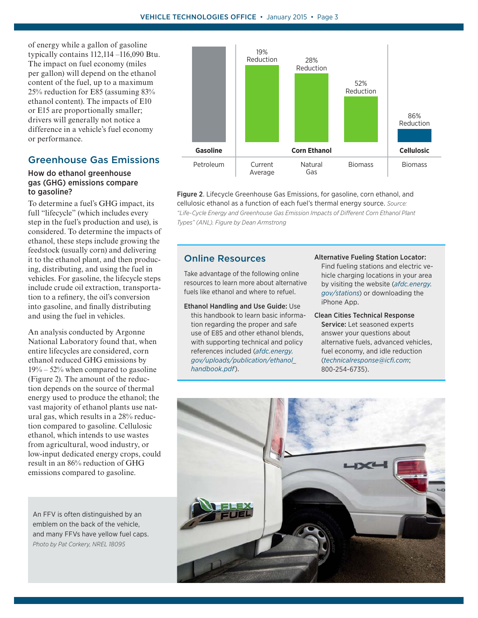of energy while a gallon of gasoline typically contains 112,114 –116,090 Btu. The impact on fuel economy (miles per gallon) will depend on the ethanol content of the fuel, up to a maximum 25% reduction for E85 (assuming 83% ethanol content). The impacts of E10 or E15 are proportionally smaller; drivers will generally not notice a difference in a vehicle's fuel economy or performance.

## Greenhouse Gas Emissions

#### How do ethanol greenhouse gas (GHG) emissions compare to gasoline?

To determine a fuel's GHG impact, its full "lifecycle" (which includes every step in the fuel's production and use), is considered. To determine the impacts of ethanol, these steps include growing the feedstock (usually corn) and delivering it to the ethanol plant, and then producing, distributing, and using the fuel in vehicles. For gasoline, the lifecycle steps include crude oil extraction, transportation to a refinery, the oil's conversion into gasoline, and finally distributing and using the fuel in vehicles.

An analysis conducted by Argonne National Laboratory found that, when entire lifecycles are considered, corn ethanol reduced GHG emissions by  $19\% - 52\%$  when compared to gasoline (Figure 2). The amount of the reduction depends on the source of thermal energy used to produce the ethanol; the vast majority of ethanol plants use natural gas, which results in a 28% reduction compared to gasoline. Cellulosic ethanol, which intends to use wastes from agricultural, wood industry, or low-input dedicated energy crops, could result in an 86% reduction of GHG emissions compared to gasoline.

An FFV is often distinguished by an emblem on the back of the vehicle, and many FFVs have yellow fuel caps. *Photo by Pat Corkery, NREL 18095*



Figure 2. Lifecycle Greenhouse Gas Emissions, for gasoline, corn ethanol, and cellulosic ethanol as a function of each fuel's thermal energy source. *Source: "Life-Cycle Energy and Greenhouse Gas Emission Impacts of Different Corn Ethanol Plant Types" (ANL). Figure by Dean Armstrong*

#### Online Resources

Take advantage of the following online resources to learn more about alternative fuels like ethanol and where to refuel.

- Ethanol Handling and Use Guide: Use this handbook to learn basic information regarding the proper and safe use of E85 and other ethanol blends, with supporting technical and policy references included (*[afdc.energy.](afdc.energy.gov/uploads/publication/ethanol_handbook.pdf) [gov/uploads/publication/ethanol\\_](afdc.energy.gov/uploads/publication/ethanol_handbook.pdf) [handbook.pdf](afdc.energy.gov/uploads/publication/ethanol_handbook.pdf)*).
- Alternative Fueling Station Locator: Find fueling stations and electric vehicle charging locations in your area by visiting the website (*[afdc.energy.](afdc.energy.gov/stations) [gov/stations](afdc.energy.gov/stations)*) or downloading the iPhone App.
- Clean Cities Technical Response Service: Let seasoned experts answer your questions about alternative fuels, advanced vehicles, fuel economy, and idle reduction (*[technicalresponse@icfi.com](mailto:technicalresponse%40icfi.com?subject=)*; 800-254-6735).